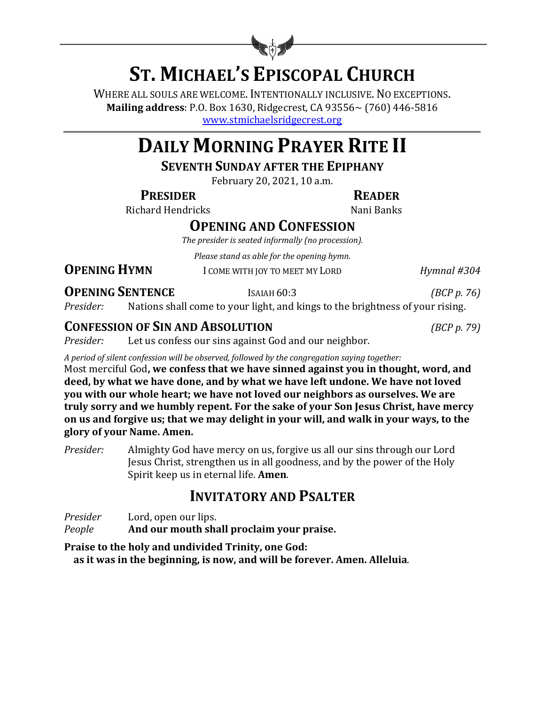

# **ST. MICHAEL'S EPISCOPAL CHURCH**

WHERE ALL SOULS ARE WELCOME. INTENTIONALLY INCLUSIVE. NO EXCEPTIONS. **Mailing address**: P.O. Box 1630, Ridgecrest, CA 93556~ (760) 446-5816 www.stmichaelsridgecrest.org

# **DAILY MORNING PRAYER RITE II**

**SEVENTH SUNDAY AFTER THE EPIPHANY** 

February 20, 2021, 10 a.m.

### **PRESIDER READER**

Richard Hendricks Nani Banks

## **OPENING AND CONFESSION**

The presider is seated informally (no procession).

*Please stand as able for the opening hymn.* **OPENING HYMN** I COME WITH JOY TO MEET MY LORD *Hymnal #304* 

**OPENING SENTENCE** ISAIAH 60:3 *(BCP p. 76)* 

*Presider:* Nations shall come to your light, and kings to the brightness of your rising.

## **CONFESSION OF SIN AND ABSOLUTION** *(BCP p. 79)*

*Presider:* Let us confess our sins against God and our neighbor.

*A period of silent confession will be observed, followed by the congregation saying together:*

Most merciful God, we confess that we have sinned against you in thought, word, and deed, by what we have done, and by what we have left undone. We have not loved **you** with our whole heart; we have not loved our neighbors as ourselves. We are truly sorry and we humbly repent. For the sake of your Son Jesus Christ, have mercy on us and forgive us; that we may delight in your will, and walk in your ways, to the **glory of your Name. Amen.**

*Presider:* Almighty God have mercy on us, forgive us all our sins through our Lord Jesus Christ, strengthen us in all goodness, and by the power of the Holy Spirit keep us in eternal life. **Amen**.

## **INVITATORY AND PSALTER**

*Presider* Lord, open our lips. *People* **And our mouth shall proclaim your praise.** 

**Praise to the holy and undivided Trinity, one God:** 

**as it was in the beginning, is now, and will be forever. Amen. Alleluia.**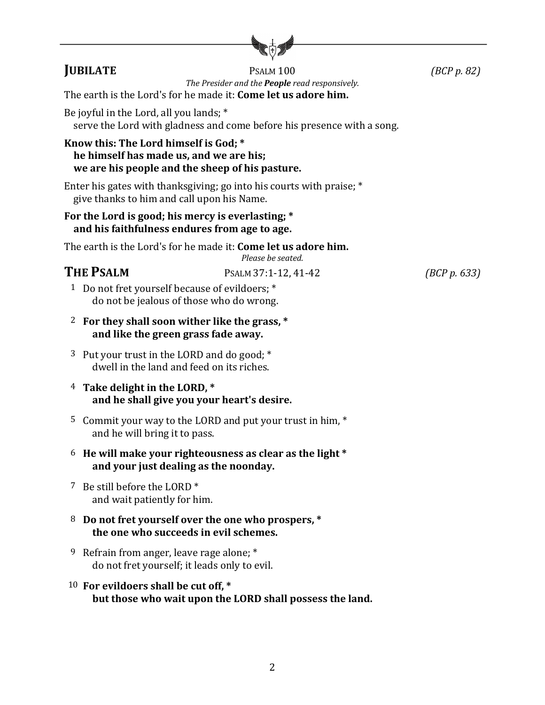

### **JUBILATE** PSALM 100 *(BCP p.* 82) The Presider and the **People** read responsively.

The earth is the Lord's for he made it: **Come let us adore him.** 

Be joyful in the Lord, all you lands; \* serve the Lord with gladness and come before his presence with a song.

#### Know this: The Lord himself is God; \*  **he himself has made us, and we are his; we are his people and the sheep of his pasture.**

Enter his gates with thanksgiving; go into his courts with praise;  $*$ give thanks to him and call upon his Name.

#### For the Lord is good; his mercy is everlasting; \* and his faithfulness endures from age to age.

The earth is the Lord's for he made it: **Come let us adore him.** 

*Please be seated.*

**THE PSALM** PSALM 37:1-12, 41-42 *(BCP p. 633)* 

- 1 Do not fret yourself because of evildoers; \* do not be jealous of those who do wrong.
- <sup>2</sup> For they shall soon wither like the grass, \* and like the green grass fade away.
- 3 Put your trust in the LORD and do good;  $*$ dwell in the land and feed on its riches.
- 4 Take delight in the LORD, \* and he shall give you your heart's desire.
- 5 Commit your way to the LORD and put your trust in him,  $*$ and he will bring it to pass.
- <sup>6</sup> He will make your righteousness as clear as the light \* and your just dealing as the noonday.
- 7 Be still before the LORD  $*$ and wait patiently for him.
- 8 Do not fret yourself over the one who prospers, \* the one who succeeds in evil schemes.
- 9 Refrain from anger, leave rage alone;  $*$ do not fret yourself; it leads only to evil.
- 10 For evildoers shall be cut off, \* but those who wait upon the LORD shall possess the land.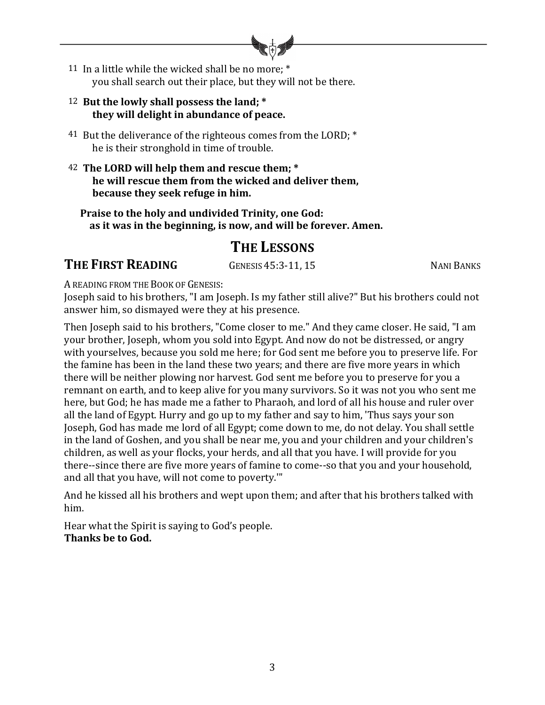

- 11 In a little while the wicked shall be no more;  $*$ you shall search out their place, but they will not be there.
- 12 But the lowly shall possess the land; \*  **they will delight in abundance of peace.**
- 41 But the deliverance of the righteous comes from the LORD;  $*$ he is their stronghold in time of trouble.
- 42 The LORD will help them and rescue them; \* **he** will rescue them from the wicked and deliver them, **because they seek refuge in him.**

Praise to the holy and undivided Trinity, one God: as it was in the beginning, is now, and will be forever. Amen.

## **THE LESSONS**

## **THE FIRST READING** GENESIS 45:3-11, 15 NANI BANKS

#### A READING FROM THE BOOK OF GENESIS:

Joseph said to his brothers, "I am Joseph. Is my father still alive?" But his brothers could not answer him, so dismayed were they at his presence.

Then Joseph said to his brothers, "Come closer to me." And they came closer. He said, "I am your brother, Joseph, whom you sold into Egypt. And now do not be distressed, or angry with yourselves, because you sold me here; for God sent me before you to preserve life. For the famine has been in the land these two years; and there are five more years in which there will be neither plowing nor harvest. God sent me before you to preserve for you a remnant on earth, and to keep alive for you many survivors. So it was not you who sent me here, but God; he has made me a father to Pharaoh, and lord of all his house and ruler over all the land of Egypt. Hurry and go up to my father and say to him, 'Thus says your son Joseph, God has made me lord of all Egypt; come down to me, do not delay. You shall settle in the land of Goshen, and you shall be near me, you and your children and your children's children, as well as your flocks, your herds, and all that you have. I will provide for you there--since there are five more years of famine to come--so that you and your household, and all that you have, will not come to poverty."

And he kissed all his brothers and wept upon them; and after that his brothers talked with him.

Hear what the Spirit is saying to God's people. **Thanks be to God.**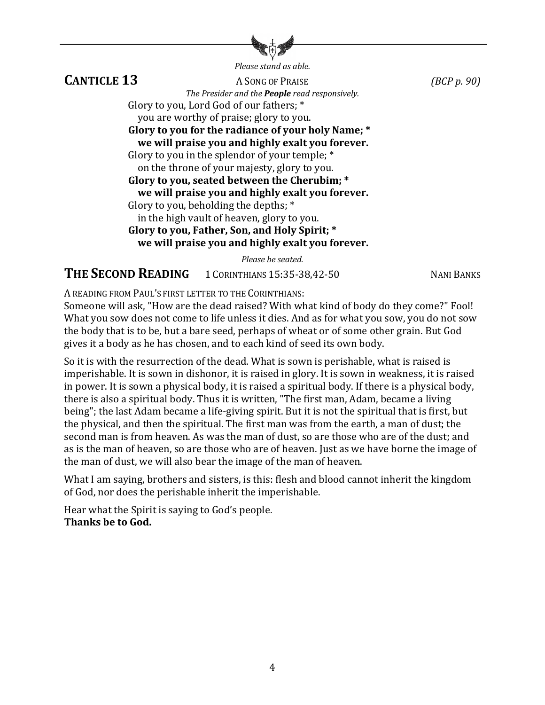

**CANTICLE 13** A SONG OF PRAISE *(BCP p. 90) The Presider and the People read responsively.* Glory to you, Lord God of our fathers; \* you are worthy of praise; glory to you. Glory to you for the radiance of your holy Name; \* **we will praise you and highly exalt you forever.** Glory to you in the splendor of your temple;  $*$ on the throne of your majesty, glory to you. Glory to you, seated between the Cherubim; \* **we will praise you and highly exalt you forever.** Glory to you, beholding the depths;  $*$ in the high vault of heaven, glory to you. Glory to you, Father, Son, and Holy Spirit; \* **we will praise you and highly exalt you forever.** 

*Please be seated.*

### **THE SECOND READING** 1 CORINTHIANS 15:35-38.42-50 NANI BANKS

A READING FROM PAUL'S FIRST LETTER TO THE CORINTHIANS:

Someone will ask, "How are the dead raised? With what kind of body do they come?" Fool! What you sow does not come to life unless it dies. And as for what you sow, you do not sow the body that is to be, but a bare seed, perhaps of wheat or of some other grain. But God gives it a body as he has chosen, and to each kind of seed its own body.

So it is with the resurrection of the dead. What is sown is perishable, what is raised is imperishable. It is sown in dishonor, it is raised in glory. It is sown in weakness, it is raised in power. It is sown a physical body, it is raised a spiritual body. If there is a physical body, there is also a spiritual body. Thus it is written, "The first man, Adam, became a living being"; the last Adam became a life-giving spirit. But it is not the spiritual that is first, but the physical, and then the spiritual. The first man was from the earth, a man of dust; the second man is from heaven. As was the man of dust, so are those who are of the dust; and as is the man of heaven, so are those who are of heaven. Just as we have borne the image of the man of dust, we will also bear the image of the man of heaven.

What I am saying, brothers and sisters, is this: flesh and blood cannot inherit the kingdom of God, nor does the perishable inherit the imperishable.

Hear what the Spirit is saying to God's people. **Thanks be to God.**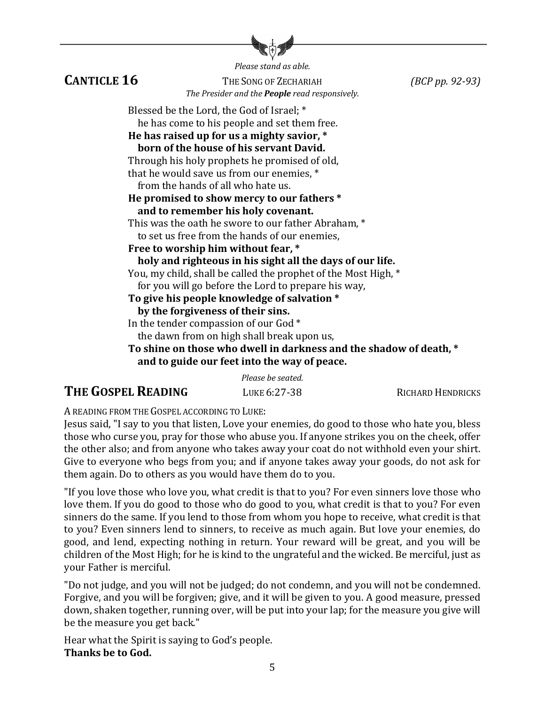

*Please stand as able.*

## **CANTICLE 16** THE SONG OF ZECHARIAH *(BCP pp. 92-93)*

*The Presider and the People read responsively.* Blessed be the Lord, the God of Israel; \* he has come to his people and set them free. He has raised up for us a mighty savior,  $*$ **born of the house of his servant David.** Through his holy prophets he promised of old, that he would save us from our enemies,  $*$ from the hands of all who hate us. He promised to show mercy to our fathers \* and to remember his holy covenant. This was the oath he swore to our father Abraham, \* to set us free from the hands of our enemies, Free to worship him without fear, \* holy and righteous in his sight all the days of our life. You, my child, shall be called the prophet of the Most High, \* for you will go before the Lord to prepare his way, To give his people knowledge of salvation \* by the forgiveness of their sins. In the tender compassion of our God  $*$ the dawn from on high shall break upon us, To shine on those who dwell in darkness and the shadow of death,  $*$ and to guide our feet into the way of peace.

*Please be seated.*

### **THE GOSPEL READING** LUKE 6:27-38 RICHARD HENDRICKS

A READING FROM THE GOSPEL ACCORDING TO LUKE:

Jesus said, "I say to you that listen, Love your enemies, do good to those who hate you, bless those who curse you, pray for those who abuse you. If anyone strikes you on the cheek, offer the other also; and from anyone who takes away your coat do not withhold even your shirt. Give to everyone who begs from you; and if anyone takes away your goods, do not ask for them again. Do to others as you would have them do to you.

"If you love those who love you, what credit is that to you? For even sinners love those who love them. If you do good to those who do good to you, what credit is that to you? For even sinners do the same. If you lend to those from whom you hope to receive, what credit is that to you? Even sinners lend to sinners, to receive as much again. But love your enemies, do good, and lend, expecting nothing in return. Your reward will be great, and you will be children of the Most High; for he is kind to the ungrateful and the wicked. Be merciful, just as your Father is merciful.

"Do not judge, and you will not be judged; do not condemn, and you will not be condemned. Forgive, and you will be forgiven; give, and it will be given to you. A good measure, pressed down, shaken together, running over, will be put into your lap; for the measure you give will be the measure you get back."

Hear what the Spirit is saying to God's people. **Thanks be to God.**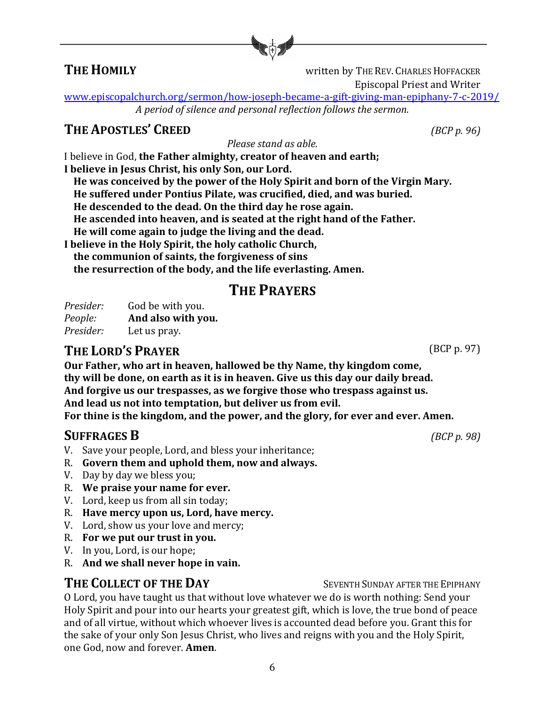## **THE HOMILY** Written by THE REV. CHARLES HOFFACKER

Episcopal Priest and Writer www.episcopalchurch.org/sermon/how-joseph-became-a-gift-giving-man-epiphany-7-c-2019/ *A period of silence and personal reflection follows the sermon.*

## **THE APOSTLES' CREED** *(BCP p. 96)*

#### *Please stand as able.*

I believe in God, the Father almighty, creator of heaven and earth; I believe in Jesus Christ, his only Son, our Lord.

He was conceived by the power of the Holy Spirit and born of the Virgin Mary.

 **He suffered under Pontius Pilate, was crucified, died, and was buried.**

He descended to the dead. On the third day he rose again.

**He ascended into heaven, and is seated at the right hand of the Father.** 

He will come again to judge the living and the dead.

**I believe in the Holy Spirit, the holy catholic Church,**

**the communion of saints, the forgiveness of sins** 

the resurrection of the body, and the life everlasting. Amen.

## **THE PRAYERS**

*Presider:* God be with you. *People:* **And also with you.** *Presider:* Let us pray.

## **THE LORD'S PRAYER** (BCP p. 97)

Our Father, who art in heaven, hallowed be thy Name, thy kingdom come, thy will be done, on earth as it is in heaven. Give us this day our daily bread. And forgive us our trespasses, as we forgive those who trespass against us. And lead us not into temptation, but deliver us from evil. For thine is the kingdom, and the power, and the glory, for ever and ever. Amen.

## **SUFFRAGES B** *(BCP p. 98)*

- V. Save your people, Lord, and bless your inheritance;
- R. Govern them and uphold them, now and always.
- V. Day by day we bless you;
- R. We praise your name for ever.
- V. Lord, keep us from all sin today;
- R. Have mercy upon us, Lord, have mercy.
- V. Lord, show us your love and mercy;
- R. For we put our trust in you.
- V. In you, Lord, is our hope;
- R. And we shall never hope in vain.

## **THE COLLECT OF THE DAY** SEVENTH SUNDAY AFTER THE EPIPHANY

O Lord, you have taught us that without love whatever we do is worth nothing: Send your Holy Spirit and pour into our hearts your greatest gift, which is love, the true bond of peace and of all virtue, without which whoever lives is accounted dead before you. Grant this for the sake of your only Son Jesus Christ, who lives and reigns with you and the Holy Spirit, one God, now and forever. **Amen**.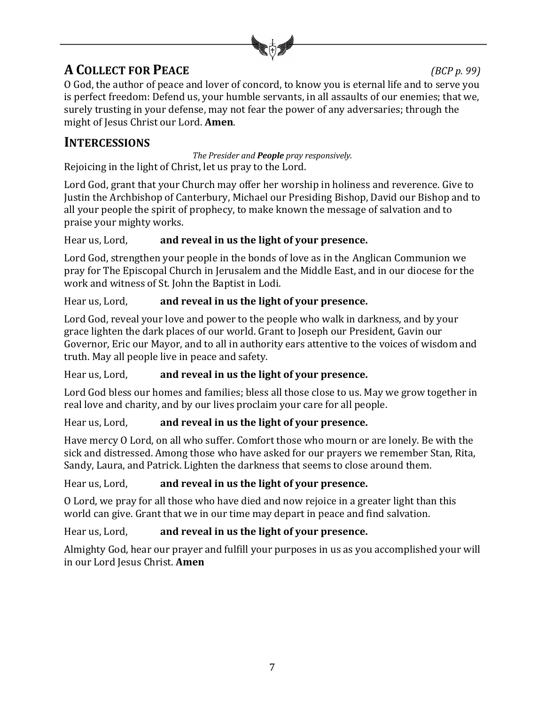

## **A COLLECT** FOR **PEACE** *(BCP p.* 99)

O God, the author of peace and lover of concord, to know you is eternal life and to serve you is perfect freedom: Defend us, your humble servants, in all assaults of our enemies; that we, surely trusting in your defense, may not fear the power of any adversaries; through the might of Jesus Christ our Lord. **Amen.** 

## **INTERCESSIONS**

*The Presider and People pray responsively.* 

Rejoicing in the light of Christ, let us pray to the Lord.

Lord God, grant that your Church may offer her worship in holiness and reverence. Give to Justin the Archbishop of Canterbury, Michael our Presiding Bishop, David our Bishop and to all your people the spirit of prophecy, to make known the message of salvation and to praise your mighty works.

### Hear us, Lord, **and reveal in us the light of your presence.**

Lord God, strengthen your people in the bonds of love as in the Anglican Communion we pray for The Episcopal Church in Jerusalem and the Middle East, and in our diocese for the work and witness of St. John the Baptist in Lodi.

### Hear us, Lord, **and reveal in us the light of your presence.**

Lord God, reveal your love and power to the people who walk in darkness, and by your grace lighten the dark places of our world. Grant to Joseph our President, Gavin our Governor, Eric our Mayor, and to all in authority ears attentive to the voices of wisdom and truth. May all people live in peace and safety.

### Hear us, Lord, **and reveal in us the light of your presence.**

Lord God bless our homes and families; bless all those close to us. May we grow together in real love and charity, and by our lives proclaim your care for all people.

### Hear us, Lord, **and reveal in us the light of your presence.**

Have mercy O Lord, on all who suffer. Comfort those who mourn or are lonely. Be with the sick and distressed. Among those who have asked for our prayers we remember Stan, Rita, Sandy, Laura, and Patrick. Lighten the darkness that seems to close around them.

### Hear us, Lord, **and reveal in us the light of your presence.**

O Lord, we pray for all those who have died and now rejoice in a greater light than this world can give. Grant that we in our time may depart in peace and find salvation.

### Hear us, Lord, **and reveal in us the light of your presence.**

Almighty God, hear our prayer and fulfill your purposes in us as you accomplished your will in our Lord Jesus Christ. **Amen**